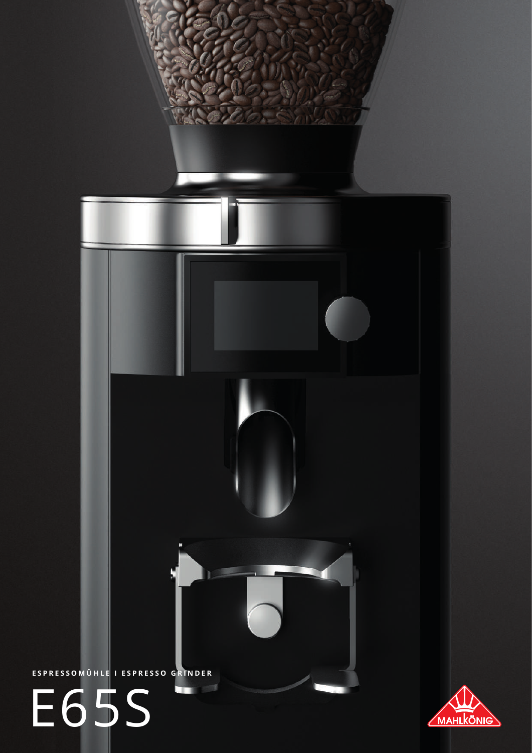